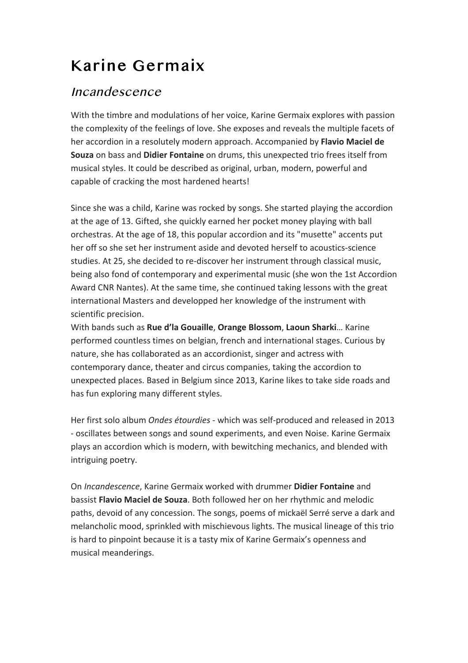## Karine Germaix

## Incandescence

With the timbre and modulations of her voice, Karine Germaix explores with passion the complexity of the feelings of love. She exposes and reveals the multiple facets of her accordion in a resolutely modern approach. Accompanied by Flavio Maciel de **Souza** on bass and **Didier Fontaine** on drums, this unexpected trio frees itself from musical styles. It could be described as original, urban, modern, powerful and capable of cracking the most hardened hearts!

Since she was a child, Karine was rocked by songs. She started playing the accordion at the age of 13. Gifted, she quickly earned her pocket money playing with ball orchestras. At the age of 18, this popular accordion and its "musette" accents put her off so she set her instrument aside and devoted herself to acoustics-science studies. At 25, she decided to re-discover her instrument through classical music, being also fond of contemporary and experimental music (she won the 1st Accordion Award CNR Nantes). At the same time, she continued taking lessons with the great international Masters and developped her knowledge of the instrument with scientific precision.

With bands such as **Rue d'la Gouaille**, **Orange Blossom**, **Laoun Sharki**… Karine performed countless times on belgian, french and international stages. Curious by nature, she has collaborated as an accordionist, singer and actress with contemporary dance, theater and circus companies, taking the accordion to unexpected places. Based in Belgium since 2013, Karine likes to take side roads and has fun exploring many different styles.

Her first solo album *Ondes étourdies* - which was self-produced and released in 2013 - oscillates between songs and sound experiments, and even Noise. Karine Germaix plays an accordion which is modern, with bewitching mechanics, and blended with intriguing poetry.

On *Incandescence*, Karine Germaix worked with drummer Didier Fontaine and bassist **Flavio Maciel de Souza**. Both followed her on her rhythmic and melodic paths, devoid of any concession. The songs, poems of mickaël Serré serve a dark and melancholic mood, sprinkled with mischievous lights. The musical lineage of this trio is hard to pinpoint because it is a tasty mix of Karine Germaix's openness and musical meanderings.